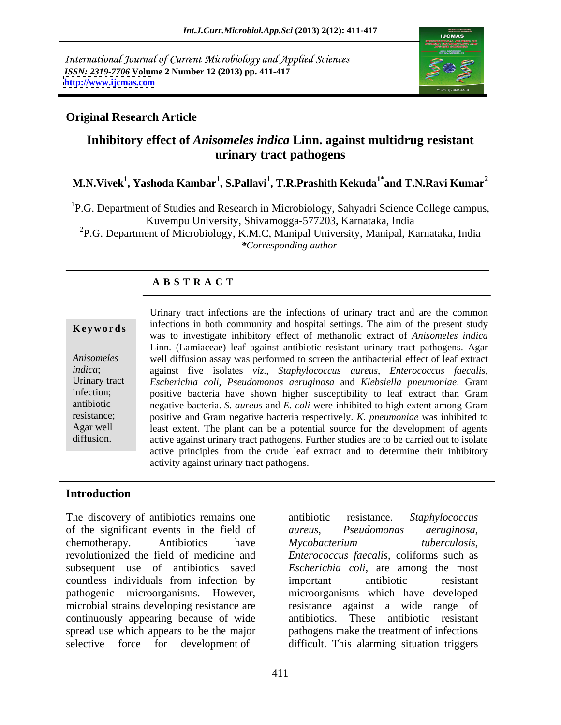International Journal of Current Microbiology and Applied Sciences *ISSN: 2319-7706* **Volume 2 Number 12 (2013) pp. 411-417 <http://www.ijcmas.com>**



## **Original Research Article**

## **Inhibitory effect of** *Anisomeles indica* **Linn. against multidrug resistant urinary tract pathogens**

## **M.N.Vivek<sup>1</sup> , Yashoda Kambar<sup>1</sup> , S.Pallavi<sup>1</sup> , T.R.Prashith Kekuda1\* and T.N.Ravi Kumar<sup>2</sup>**

<sup>1</sup>P.G. Department of Studies and Research in Microbiology, Sahyadri Science College campus, Kuvempu University, Shivamogga-577203, Karnataka, India

<sup>2</sup>P.G. Department of Microbiology, K.M.C, Manipal University, Manipal, Karnataka, India *\*Corresponding author* 

## **A B S T R A C T**

**Keywords** infections in both community and hospital settings. The aim of the present study *Anisomeles*  well diffusion assay was performed to screen the antibacterial effect of leaf extract *indica*; against five isolates *viz*., *Staphylococcus aureus*, *Enterococcus faecalis*, Urinary tract *Escherichia coli*, *Pseudomonas aeruginosa* and *Klebsiella pneumoniae*. Gram infection; positive bacteria have shown higher susceptibility to leaf extract than Gram antibiotic negative bacteria. *S. aureus* and *E. coli* were inhibited to high extent among Gram resistance; positive and Gram negative bacteria respectively. *K. pneumoniae* was inhibited to Agar well least extent. The plant can be a potential source for the development of agents diffusion. active against urinary tract pathogens. Further studies are to be carried out to isolate Urinary tract infections are the infections of urinary tract and are the common was to investigate inhibitory effect of methanolic extract of *Anisomeles indica* Linn. (Lamiaceae) leaf against antibiotic resistant urinary tract pathogens. Agar active principles from the crude leaf extract and to determine their inhibitory activity against urinary tract pathogens.

## **Introduction**

The discovery of antibiotics remains one antibiotic resistance. Staphylococcus of the significant events in the field of aureus, Pseudomonas aeruginosa, chemotherapy. Antibiotics have *Mycobacterium* tuberculosis, revolutionized the field of medicine and *Enterococcus faecalis*, coliforms such as subsequent use of antibiotics saved *Escherichia coli*, are among the most countless individuals from infection by pathogenic microorganisms. However, microorganisms which have developed microbial strains developing resistance are continuously appearing because of wide spread use which appears to be the major pathogens make the treatment of infections

selective force for development of difficult. This alarming situation triggers antibiotic resistance. *Staphylococcus aureus*, *Pseudomonas aeruginosa, Mycobacterium tuberculosis*, important antibiotic resistant resistance against a wide range of These antibiotic resistant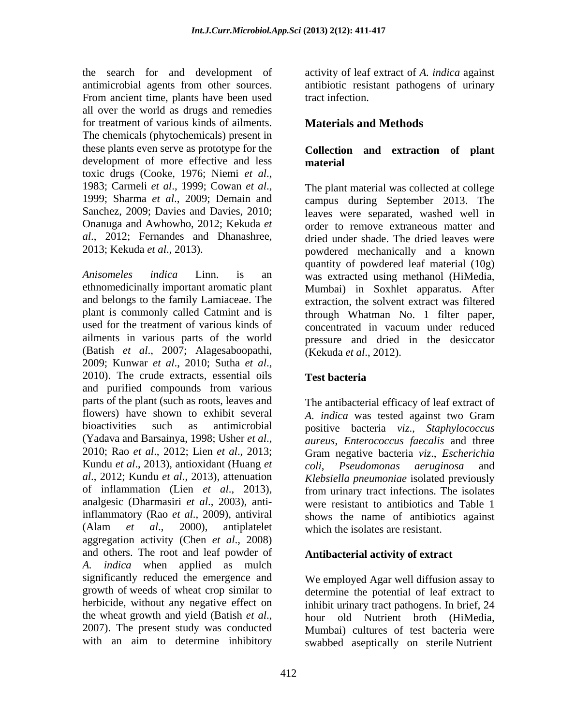the search for and development of antimicrobial agents from other sources. antibiotic resistant pathogens of urinary From ancient time, plants have been used tract infection. all over the world as drugs and remedies for treatment of various kinds of ailments. Materials and Methods The chemicals (phytochemicals) present in these plants even serve as prototype for the **Collection and extraction of plant** development of more effective and less material toxic drugs (Cooke, 1976; Niemi *et al*., 1983; Carmeli *et al*., 1999; Cowan *et al*., 1999; Sharma *et al*., 2009; Demain and *al*., 2012; Fernandes and Dhanashree,

used for the treatment of various kinds of concentrated in vacuum under reduced ailments in various parts of the world (Batish *et al*., 2007; Alagesaboopathi, 2009; Kunwar *et al*., 2010; Sutha *et al*., 2010). The crude extracts, essential oils and purified compounds from various parts of the plant (such as roots, leaves and The antibacterial efficacy of leaf extract of flowers) have shown to exhibit several A. *indica* was tested against two Gram bioactivities such as antimicrobial positive bacteria *viz*., *Staphylococcus*  (Yadava and Barsainya, 1998; Usher *et al*., 2010; Rao *et al*.,2012; Lien *et al*., 2013; Kundu *et al*., 2013), antioxidant (Huang *et al*., 2012; Kundu *et al*., 2013), attenuation *Klebsiella pneumoniae* isolated previously of inflammation (Lien *et al*., 2013), from urinary tract infections. The isolates analgesic (Dharmasiri *et al*., 2003), antiinflammatory (Rao *et al.*, 2009), antiviral shows the name of antibiotics against (Alam *et al*., 2000), antiplatelet which the isolates are resistant. aggregation activity (Chen *et al*., 2008) and others. The root and leaf powder of *A. indica* when applied as mulch significantly reduced the emergence and growth of weeds of wheat crop similar to herbicide, without any negative effect on inhibit urinary tract pathogens. In brief, 24 the wheat growth and yield (Batish *et al*.,<br>2007). The present study was conducted Mumbai) cultures of test bacteria were

activity of leaf extract of *A. indica* against tract infection.

## **Materials and Methods**

# **material**

Sanchez, 2009; Davies and Davies, 2010; leaves were separated, washed well in Onanuga and Awhowho, 2012; Kekuda *et*  order to remove extraneous matter and 2013; Kekuda *et al*., 2013). powdered mechanically and a known *Anisomeles indica* Linn. is an was extracted using methanol (HiMedia, ethnomedicinally important aromatic plant Mumbai) in Soxhlet apparatus. After and belongs to the family Lamiaceae. The extraction, the solvent extract was filtered plant is commonly called Catmint and is through Whatman No. 1 filter paper, The plant material was collected at college campus during September 2013. The dried under shade. The dried leaves were quantity of powdered leaf material (10g) concentrated in vacuum under reduced pressure and dried in the desiccator (Kekuda *et al*., 2012).

## **Test bacteria**

*A. indica* was tested against two Gram *aureus*, *Enterococcus faecalis* and three Gram negative bacteria *viz*., *Escherichia coli*, *Pseudomonas aeruginosa* and were resistant to antibiotics and Table 1

## **Antibacterial activity of extract**

with an aim to determine inhibitory swabbed aseptically on sterile Nutrient We employed Agar well diffusion assay to determine the potential of leaf extract to hour old Nutrient broth (HiMedia, Mumbai) cultures of test bacteria were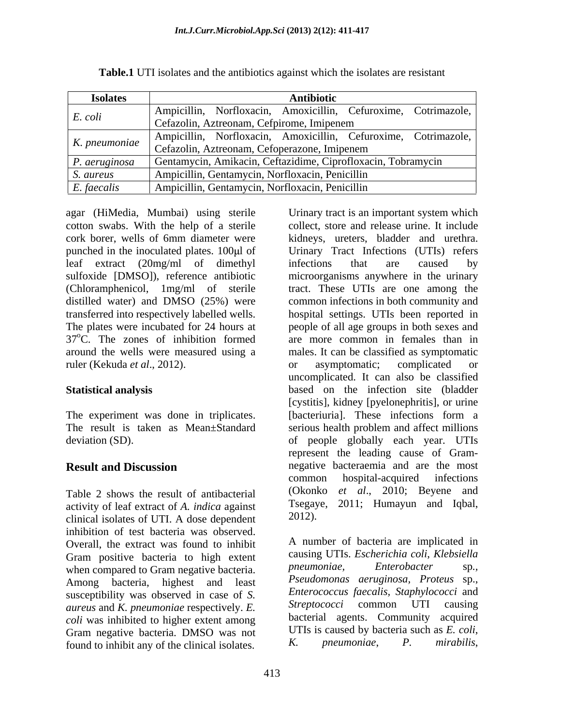| <b>Isolates</b> | Antibiotic                                                                          |
|-----------------|-------------------------------------------------------------------------------------|
| E. coli         | Ampicillin, Norfloxacin, Amoxicillin, Cefuroxime, Cotrimazole,                      |
|                 | Cefazolin, Aztreonam, Cefpirome, Imipenem                                           |
|                 | Ampicillin, Norfloxacin, Amoxicillin, Cefuroxime, Cotrimazole,                      |
|                 | K. pneumoniae Cefazolin, Aztreonam, Cefoperazone, Imipenem                          |
|                 | <i>P. aeruginosa</i>   Gentamycin, Amikacin, Ceftazidime, Ciprofloxacin, Tobramycin |
| S. aureus       | Ampicillin, Gentamycin, Norfloxacin, Penicillin                                     |
| E. faecalis     | Ampicillin, Gentamycin, Norfloxacin, Penicillin                                     |

**Table.1** UTI isolates and the antibiotics against which the isolates are resistant

leaf extract (20mg/ml of dimethyl 37°C. The zones of inhibition formed ruler (Kekuda *et al.*, 2012). or asymptomatic; complicated or

Table 2 shows the result of antibacterial activity of leaf extract of *A. indica* against clinical isolates of UTI. A dose dependent inhibition of test bacteria was observed. Overall, the extract was found to inhibit Gram positive bacteria to high extent causing UTIs. *Escherichia coli, Klebsiella*<br>when compared to Gram peositive bacteria *preumoniae*, *Enterobacter* sp., when compared to Gram negative bacteria. Among bacteria, highest and least susceptibility was observed in case of *S.* Enterococcus faecalis, Staphylococci and<br>aureus and *K* preumoniae respectively *F* Streptococci common UTI causing *aureus* and *K. pneumoniae* respectively. *E. coli* was inhibited to higher extent among Gram negative bacteria. DMSO was not UTIs is caused by bacteria such as E. coli,<br>found to inhibit any of the clinical isolates  $K$ . pneumoniae,  $P$ . mirabilis. found to inhibit any of the clinical isolates.

agar (HiMedia, Mumbai) using sterile Urinary tract is an important system which cotton swabs. With the help of a sterile collect, store and release urine. It include cork borer, wells of 6mm diameter were punched in the inoculated plates. 100µl of Urinary Tract Infections (UTIs) refers sulfoxide [DMSO]), reference antibiotic microorganisms anywhere in the urinary (Chloramphenicol, 1mg/ml of sterile tract. These UTIs are one among the distilled water) and DMSO (25%) were common infections in both community and transferred into respectively labelled wells. hospital settings. UTIs been reported in The plates were incubated for 24 hours at people of all age groups in both sexes and around the wells were measured using a males. It can be classified as symptomatic **Statistical analysis** based on the infection site (bladder The experiment was done in triplicates. [bacteriuria]. These infections form a The result is taken as Mean±Standard serious health problem and affect millions deviation (SD). of people globally each year. UTIs **Result and Discussion** negative bacteraemia and are the most kidneys, ureters, bladder and urethra. infections that are caused by are more common in females than in or asymptomatic; complicated or uncomplicated. It can also be classified [cystitis], kidney [pyelonephritis], or urine represent the leading cause of Gram common hospital-acquired infections (Okonko *et al*., 2010; Beyene and Tsegaye, 2011; Humayun and Iqbal, 2012).

> A number of bacteria are implicated in causing UTIs. *Escherichia coli*, *Klebsiella pneumoniae, Enterobacter* sp*., Pseudomonas aeruginosa, Proteus* sp., *Enterococcus faecalis, Staphylococci* and *Streptococci* common UTI causing bacterial agents. Community acquired UTIs is caused by bacteria such as *E. coli*, *K. pneumoniae*, *P. mirabilis*,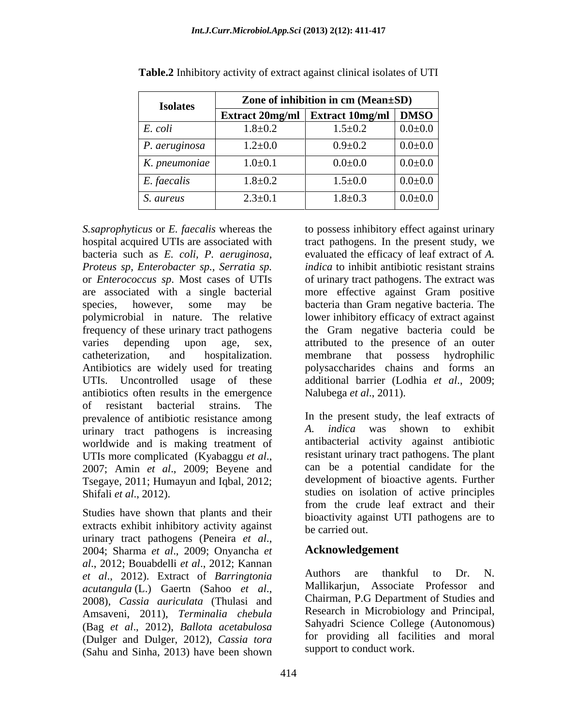| <b>Isolates</b>  | Zone of inhibition in cm (Mean±SD)                                             |               |               |
|------------------|--------------------------------------------------------------------------------|---------------|---------------|
|                  | $\frac{1}{2}$ Extract 20mg/ml $\frac{1}{2}$ Extract 10mg/ml $\frac{1}{2}$ DMSO |               |               |
| E. coli          | $1.8 + 0.2$                                                                    | $1.5 \pm 0.2$ | $0.0 \pm 0.0$ |
| P. aeruginosa    | $1.2 \pm 0.0$                                                                  | $0.9 + 0.2$   | $0.0 \pm 0.0$ |
| K. pneumoniae    | $1.0 \pm 0.1$                                                                  | $0.0 + 0.0$   | $0.0 \pm 0.0$ |
| E. faecalis      | $1.8 + 0.2$                                                                    | $1.5 \pm 0.0$ | $0.0 \pm 0.0$ |
| <i>S. aureus</i> | $2.3 \pm 0.1$                                                                  | $1.8 + 0.3$   | $0.0 \pm 0.0$ |

**Table.2** Inhibitory activity of extract against clinical isolates of UTI

bacteria such as *E. coli, P. aeruginosa, Proteus sp, Enterobacter sp., Serratia sp.* antibiotics often results in the emergence of resistant bacterial strains. The prevalence of antibiotic resistance among <br>urinary tract pathogens is increasing and *h indica* was shown to exhibit urinary tract pathogens is increasing worldwide and is making treatment of Tsegaye, 2011; Humayun and Iqbal, 2012;

Studies have shown that plants and their extracts exhibit inhibitory activity against be carried out. urinary tract pathogens (Peneira *et al.*,<br>2004; Sharma *et al.*, 2009; Onyancha *et* **Acknowledgement** *al*., 2012; Bouabdelli *et al*., 2012; Kannan *et al*., 2012). Extract of *Barringtonia*  Amsaveni, 2011), *Terminalia chebula* (Bag *et al*., 2012), *Ballota acetabulosa* (Dulger and Dulger, 2012), *Cassia tora* (Sahu and Sinha, 2013) have been shown

*S.saprophyticus* or *E. faecalis* whereas the to possess inhibitory effect against urinary hospital acquired UTIs are associated with tract pathogens.In the present study, we or *Enterococcus sp*. Most cases of UTIs of urinary tract pathogens. The extract was are associated with a single bacterial more effective against Gram positive species, however, some may be bacteria than Gram negative bacteria. The polymicrobial in nature. The relative lower inhibitory efficacy of extract against frequency of these urinary tract pathogens the Gram negative bacteria could be varies depending upon age, sex, attributed to the presence of an outer catheterization, and hospitalization. Antibiotics are widely used for treating polysaccharides chains and forms an UTIs. Uncontrolled usage of these additional barrier (Lodhia *et al*., 2009; evaluated the efficacy of leaf extract of *A. indica* to inhibit antibiotic resistant strains membrane that possess hydrophilic Nalubega *et al*., 2011).

UTIs more complicated (Kyabaggu *et al.*,<br>2007; Amin *et al.*, 2009; Beyene and can be a potential candidate for the Shifali *et al.*, 2012). Shifali *et al.*, 2012). In the present study, the leaf extracts of *A. indica* was shown to exhibit antibacterial activity against antibiotic resistant urinary tract pathogens. The plant can be a potential candidate for the development of bioactive agents. Further from the crude leaf extract and their bioactivity against UTI pathogens are to be carried out.

## **Acknowledgement**

*acutangula* (L.) Gaertn (Sahoo *et al*., 2008), *Cassia auriculata* (Thulasi and Authors are thankful to Dr. N. Mallikarjun, Associate Professor and Chairman, P.G Department of Studies and Research in Microbiology and Principal, Sahyadri Science College (Autonomous) for providing all facilities and moral support to conduct work.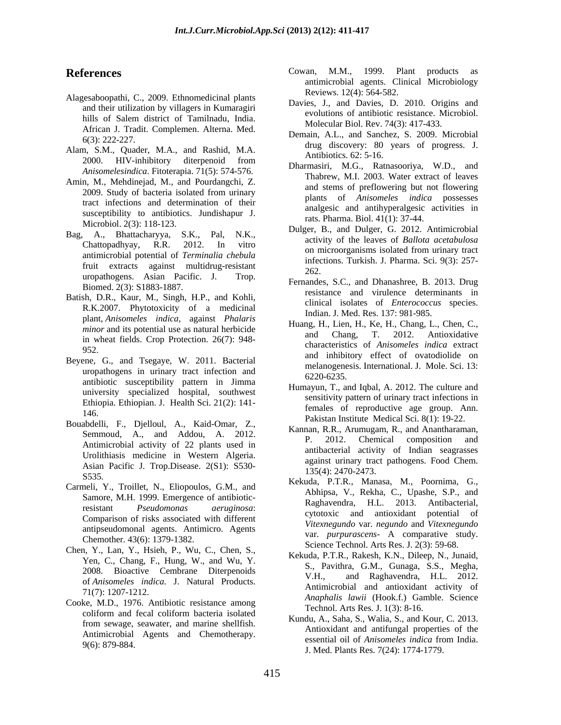- Alagesaboopathi, C., 2009. Ethnomedicinal plants and their utilization by villagers in Kumaragiri hills of Salem district of Tamilnadu, India.<br>African J. Tradit. Complemen. Alterna. Med. Molecular Biol. Rev. 74(3): 417-433.
- Alam, S.M., Quader, M.A., and Rashid, M.A. 2000. HIV-inhibitory diterpenoid from  $\sum_{n=1}^{\infty} M_n$   $\sum_{n=1}^{\infty}$   $\sum_{n=1}^{\infty} N_n$  and *Anisomelesindica*. Fitoterapia. 71(5): 574-576.
- Amin, M., Mehdinejad, M., and Pourdangchi, Z. 2009. Study of bacteria isolated from urinary tract infections and determination of their susceptibility to antibiotics. Jundishapur J.
- Bag, A., Bhattacharyya, S.K., Pal, N.K., fruit extracts against multidrug-resistant 262. uropathogens. Asian Pacific. J. Trop. Biomed. 2(3): S1883-1887.
- Batish, D.R., Kaur, M., Singh, H.P., and Kohli, R.K.2007. Phytotoxicity of a medicinal plant, *Anisomeles indica*, against *Phalaris*  in wheat fields. Crop Protection. 26(7): 948-
- Beyene, G., and Tsegaye, W. 2011. Bacterial uropathogens in urinary tract infection and the metalogene of the state of  $\frac{1}{220}$ antibiotic susceptibility pattern in Jimma university specialized hospital, southwest Ethiopia. Ethiopian. J. Health Sci. 21(2): 141-
- Bouabdelli, F., Djelloul, A., Kaid-Omar, Z., Semmoud, A., and Addou, A. 2012. **Natural**, Antimicrobial activity of 22 plants used in Urolithiasis medicine in Western Algeria. Asian Pacific J. Trop.Disease. 2(S1): S530-
- Carmeli, Y., Troillet, N., Eliopoulos, G.M., and Samore, M.H. 1999. Emergence of antibiotic-Comparison of risks associated with different antipseudomonal agents. Antimicro. Agents Chemother. 43(6): 1379-1382.
- Chen, Y., Lan, Y., Hsieh, P., Wu, C., Chen, S., Yen, C., Chang, F., Hung, W., and Wu, Y. 2008. Bioactive Cembrane Diterpenoids  $V.H.,$ of *Anisomeles indica*. J. Natural Products.
- Cooke, M.D., 1976. Antibiotic resistance among coliform and fecal coliform bacteria isolated<br> $V_{\text{total}}$  A S has S Webles C Webles C 2012 from sewage, seawater, and marine shellfish.
- **References** Cowan, M.M., 1999. Plant products as Cowan, M.M., 1999. Plant products as antimicrobial agents. Clinical Microbiology Reviews. 12(4): 564-582.
	- Davies, J., and Davies, D. 2010. Origins and evolutions of antibiotic resistance. Microbiol. Molecular Biol. Rev. 74(3): 417-433.
	- 6(3): 222-227. drug discovery: 80 years of progress. J. Demain, A.L., and Sanchez, S. 2009. Microbial Antibiotics. 62: 5-16.
		- Dharmasiri, M.G., Ratnasooriya, W.D., and Thabrew, M.I. 2003. Water extract of leaves and stems of preflowering but not flowering plants of *Anisomeles indica* possesses analgesic and antihyperalgesic activities in rats. Pharma. Biol. 41(1): 37-44.
	- Microbiol. 2(3): 118-123.<br>  $\begin{array}{ccc}\n\text{Max. Fianina. Bto. } +\text{r(1)}, \text{37--}+\text{4.} \\
	\text{Dulger, B., and Dulger, G. 2012. Antimicrobial\n\end{array}$ Chattopadhyay, R.R. 2012. In vitro  $\frac{3}{2}$  accurring to the construction interest of  $\frac{1}{2}$ enation painty and **Figure 1.1.1.** The contract of *Terminalia chebula*<br>antimicrobial potential of *Terminalia chebula*<br>chebula and contract and the *Terminalia chebula* activity of the leaves of *Ballota acetabulosa* on microorganisms isolated from urinary tract infections. Turkish. J. Pharma. Sci. 9(3): 257- 262.
		- Fernandes, S.C., and Dhanashree, B. 2013. Drug resistance and virulence determinants in clinical isolates of *Enterococcus* species. Indian. J. Med. Res. 137: 981-985.
	- *minor* and its potential use as natural herbicide<br>and Chang, T. 2012. Antioxidative 952.<br>
	and inhibitory effect of ovatodiolide on Huang, H., Lien, H., Ke, H., Chang, L., Chen, C., and Chang, T. 2012. Antioxidative characteristics of *Anisomeles indica* extract melanogenesis. International. J. Mole. Sci. 13: 6220-6235.
	- 146.<br>
	Pakistan Institute Medical Sci. 8(1): 19-22. Humayun, T., and Iqbal, A. 2012. The culture and sensitivity pattern of urinary tract infections in females of reproductive age group. Ann.
		- Kannan, R.R., Arumugam, R., and Anantharaman, 2012. Chemical composition and antibacterial activity of Indian seagrasses against urinary tract pathogens. Food Chem. 135(4): 2470-2473.
	- S535.<br>
	Kekuda, P.T.R., Manasa, M., Poornima, G., resistant *Pseudomonas aeruginosa*: Ragnavendra, 11.1. 2015. Antioacterial,<br>Compositor of ricks essertied with different cytotoxic and antioxidant potential of Abhipsa, V., Rekha, C., Upashe, S.P., and Raghavendra, H.L. 2013. Antibacterial, *Vitexnegundo* var. *negundo* and *Vitexnegundo* var. *purpurascens*- A comparative study. Science Technol. Arts Res. J. 2(3): 59-68.
	- 71(7): 1207-1212. *Anaphalis lawii* (Hook.f.) Gamble. Science Kekuda, P.T.R., Rakesh, K.N., Dileep, N., Junaid, S., Pavithra, G.M., Gunaga, S.S., Megha, and Raghavendra, H.L. 2012. Antimicrobial and antioxidant activity of Technol. Arts Res. J. 1(3): 8-16.
	- Antimicrobial Agents and Chemotherapy.<br>essential oil of *Antisomeles indica* from India. 9(6): 879-884. Sesentar on or *Antsolute is the case in the case of the sesentar* on or *Antsolute is the case in the case of the sesentar* or  $\sigma$ . J. Med. Plants Res. 7(24): 1774-1779. Kundu, A., Saha, S., Walia, S., and Kour, C. 2013. Antioxidant and antifungal properties of the essential oil of *Anisomeles indica* from India.